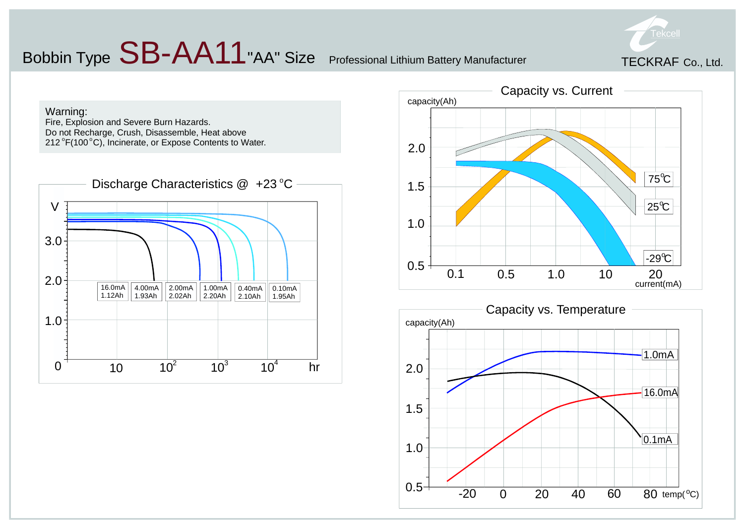## Bobbin Type  $SB-AA11$  "AA" Size Professional Lithium Battery Manufacturer







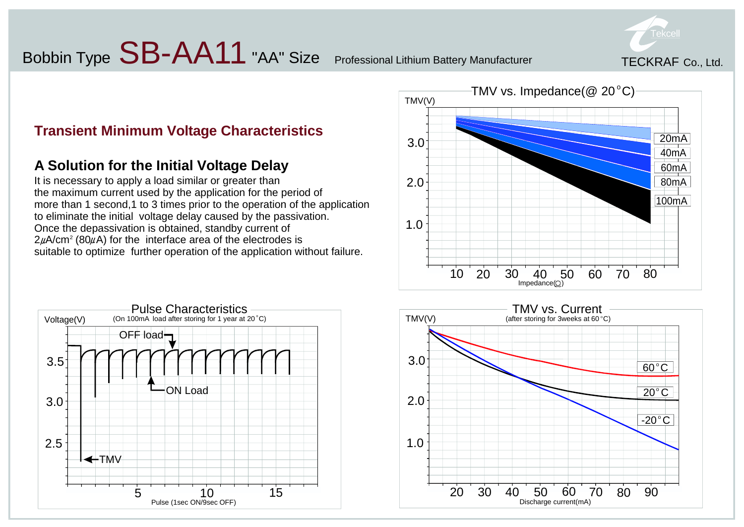### Bobbin Type  $SB-AA11$  "AA" Size Professional Lithium Battery Manufacturer



#### **Transient Minimum Voltage Characteristics**

#### **A Solution for the Initial Voltage Delay**

It is necessary to apply a load similar or greater than the maximum current used by the application for the period of more than 1 second,1 to 3 times prior to the operation of the application to eliminate the initial voltage delay caused by the passivation. Once the depassivation is obtained, standby current of  $2\mu$ A/cm<sup>2</sup> (80 $\mu$ A) for the interface area of the electrodes is suitable to optimize further operation of the application without failure.





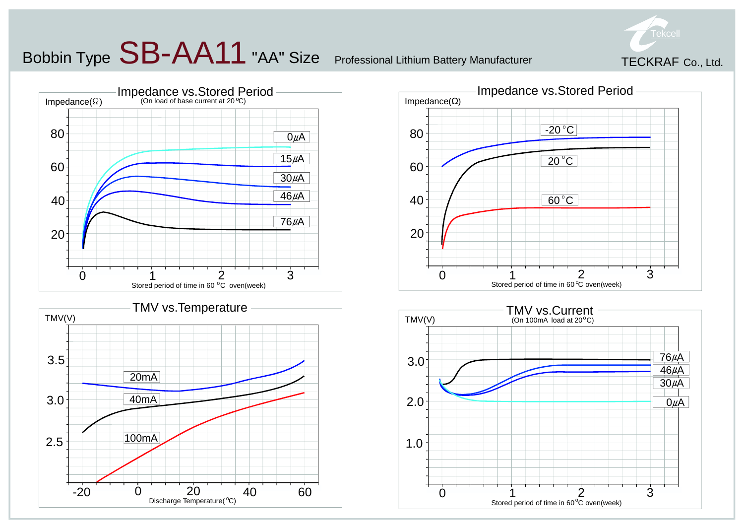### Bobbin Type  $\mathsf{SB\text{-}AA11}$  "AA" Size Professional Lithium Battery Manufacturer